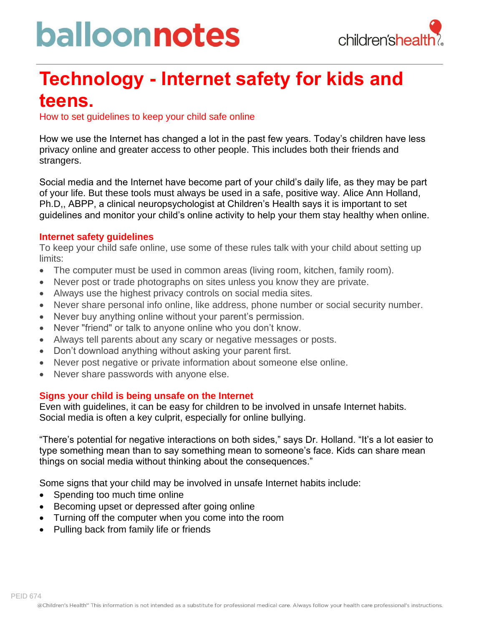# balloonnotes



### **Technology - Internet safety for kids and teens.**

How to set guidelines to keep your child safe online

How we use the Internet has changed a lot in the past few years. Today's children have less privacy online and greater access to other people. This includes both their friends and strangers.

Social media and the Internet have become part of your child's daily life, as they may be part of your life. But these tools must always be used in a safe, positive way. Alice Ann Holland, Ph.D,, ABPP, a clinical neuropsychologist at Children's Health says it is important to set guidelines and monitor your child's online activity to help your them stay healthy when online.

#### **Internet safety guidelines**

To keep your child safe online, use some of these rules talk with your child about setting up limits:

- The computer must be used in common areas (living room, kitchen, family room).
- Never post or trade photographs on sites unless you know they are private.
- Always use the highest privacy controls on social media sites.
- Never share personal info online, like address, phone number or social security number.
- Never buy anything online without your parent's permission.
- Never "friend" or talk to anyone online who you don't know.
- Always tell parents about any scary or negative messages or posts.
- Don't download anything without asking your parent first.
- Never post negative or private information about someone else online.
- Never share passwords with anyone else.

#### **Signs your child is being unsafe on the Internet**

Even with guidelines, it can be easy for children to be involved in unsafe Internet habits. Social media is often a key culprit, especially for online bullying.

"There's potential for negative interactions on both sides," says Dr. Holland. "It's a lot easier to type something mean than to say something mean to someone's face. Kids can share mean things on social media without thinking about the consequences."

Some signs that your child may be involved in unsafe Internet habits include:

- Spending too much time online
- Becoming upset or depressed after going online
- Turning off the computer when you come into the room
- Pulling back from family life or friends